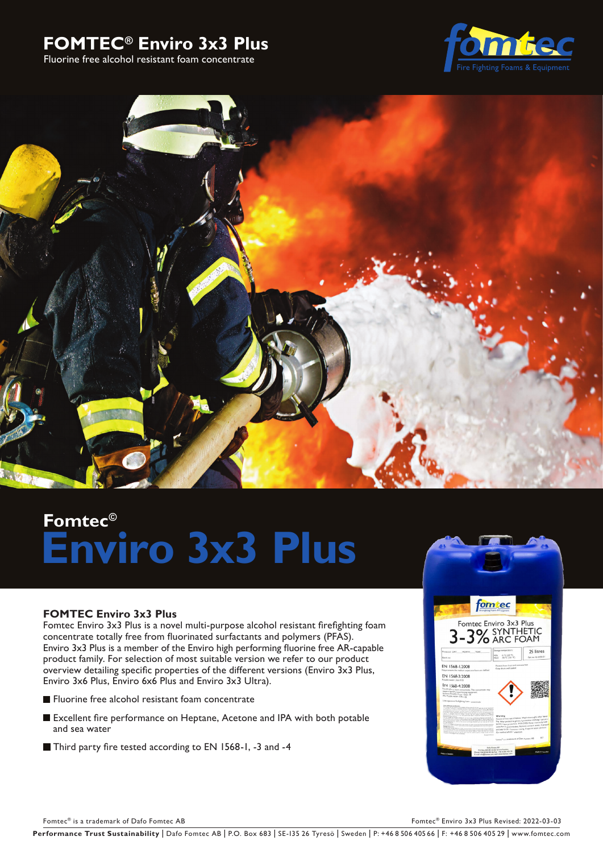# **FOMTEC® Enviro 3x3 Plus**

Fluorine free alcohol resistant foam concentrate





# **Fomtec© Enviro 3x3 Plus**

# **FOMTEC Enviro 3x3 Plus**

Fomtec Enviro 3x3 Plus is a novel multi-purpose alcohol resistant firefighting foam concentrate totally free from fluorinated surfactants and polymers (PFAS). Enviro 3x3 Plus is a member of the Enviro high performing fluorine free AR-capable product family. For selection of most suitable version we refer to our product overview detailing specific properties of the different versions (Enviro 3x3 Plus, Enviro 3x6 Plus, Enviro 6x6 Plus and Enviro 3x3 Ultra).

- **Fluorine free alcohol resistant foam concentrate**
- Excellent fire performance on Heptane, Acetone and IPA with both potable and sea water
- Third party fire tested according to EN 1568-1, -3 and -4



Fomtec® is a trademark of Dafo Fomtec AB Formula and the Community of Dafo Fomtec AB Formula and the Community Revised: 2022-03-03

Performance Trust Sustainability | Dafo Fomtec AB | P.O. Box 683 | SE-135 26 Tyresö | Sweden | P: +46 8 506 405 66 | F: +46 8 506 405 29 | www.fomtec.com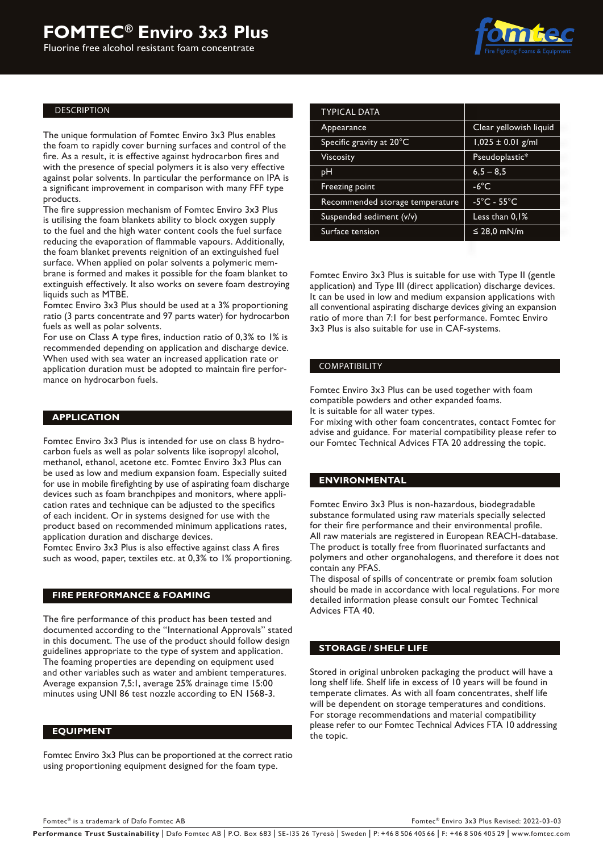Fluorine free alcohol resistant foam concentrate



#### DESCRIPTION

The unique formulation of Fomtec Enviro 3x3 Plus enables the foam to rapidly cover burning surfaces and control of the fire. As a result, it is effective against hydrocarbon fires and with the presence of special polymers it is also very effective against polar solvents. In particular the performance on IPA is a significant improvement in comparison with many FFF type products.

The fire suppression mechanism of Fomtec Enviro 3x3 Plus is utilising the foam blankets ability to block oxygen supply to the fuel and the high water content cools the fuel surface reducing the evaporation of flammable vapours. Additionally, the foam blanket prevents reignition of an extinguished fuel surface. When applied on polar solvents a polymeric membrane is formed and makes it possible for the foam blanket to extinguish effectively. It also works on severe foam destroying liquids such as MTBE.

Fomtec Enviro 3x3 Plus should be used at a 3% proportioning ratio (3 parts concentrate and 97 parts water) for hydrocarbon fuels as well as polar solvents.

For use on Class A type fires, induction ratio of 0,3% to 1% is recommended depending on application and discharge device. When used with sea water an increased application rate or application duration must be adopted to maintain fire performance on hydrocarbon fuels.

#### **APPLICATION**

Fomtec Enviro 3x3 Plus is intended for use on class B hydrocarbon fuels as well as polar solvents like isopropyl alcohol, methanol, ethanol, acetone etc. Fomtec Enviro 3x3 Plus can be used as low and medium expansion foam. Especially suited for use in mobile firefighting by use of aspirating foam discharge devices such as foam branchpipes and monitors, where application rates and technique can be adjusted to the specifics of each incident. Or in systems designed for use with the product based on recommended minimum applications rates, application duration and discharge devices.

Fomtec Enviro 3x3 Plus is also effective against class A fires such as wood, paper, textiles etc. at 0,3% to 1% proportioning.

#### **FIRE PERFORMANCE & FOAMING**

The fire performance of this product has been tested and documented according to the "International Approvals" stated in this document. The use of the product should follow design guidelines appropriate to the type of system and application. The foaming properties are depending on equipment used and other variables such as water and ambient temperatures. Average expansion 7,5:1, average 25% drainage time 15:00 minutes using UNI 86 test nozzle according to EN 1568-3.

#### **EQUIPMENT**

Fomtec Enviro 3x3 Plus can be proportioned at the correct ratio using proportioning equipment designed for the foam type.

| TYPICAL DATA                    |                                  |
|---------------------------------|----------------------------------|
| Appearance                      | Clear yellowish liquid           |
| Specific gravity at 20°C        | $1,025 \pm 0.01$ g/ml            |
| Viscosity                       | Pseudoplastic*                   |
| pН                              | $6,5 - 8,5$                      |
| Freezing point                  | $-6^{\circ}$ C                   |
| Recommended storage temperature | $-5^{\circ}$ C - 55 $^{\circ}$ C |
| Suspended sediment (v/v)        | Less than 0.1%                   |
| Surface tension                 | ≤ 28,0 mN/m                      |
|                                 |                                  |

Fomtec Enviro 3x3 Plus is suitable for use with Type II (gentle application) and Type III (direct application) discharge devices. It can be used in low and medium expansion applications with all conventional aspirating discharge devices giving an expansion ratio of more than 7:1 for best performance. Fomtec Enviro 3x3 Plus is also suitable for use in CAF-systems.

#### COMPATIBILITY

Fomtec Enviro 3x3 Plus can be used together with foam compatible powders and other expanded foams. It is suitable for all water types.

For mixing with other foam concentrates, contact Fomtec for advise and guidance. For material compatibility please refer to our Fomtec Technical Advices FTA 20 addressing the topic.

#### **ENVIRONMENTAL**

Fomtec Enviro 3x3 Plus is non-hazardous, biodegradable substance formulated using raw materials specially selected for their fire performance and their environmental profile. All raw materials are registered in European REACH-database. The product is totally free from fluorinated surfactants and polymers and other organohalogens, and therefore it does not contain any PFAS.

The disposal of spills of concentrate or premix foam solution should be made in accordance with local regulations. For more detailed information please consult our Fomtec Technical Advices FTA 40.

#### **STORAGE / SHELF LIFE**

Stored in original unbroken packaging the product will have a long shelf life. Shelf life in excess of 10 years will be found in temperate climates. As with all foam concentrates, shelf life will be dependent on storage temperatures and conditions. For storage recommendations and material compatibility please refer to our Fomtec Technical Advices FTA 10 addressing the topic.